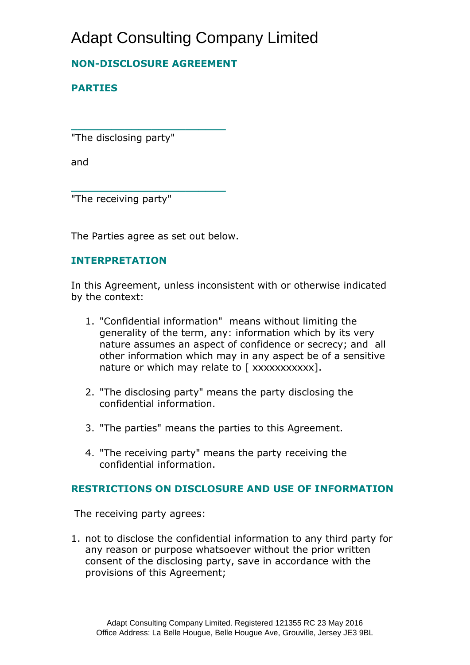# Adapt Consulting Company Limited

## **NON-DISCLOSURE AGREEMENT**

**\_\_\_\_\_\_\_\_\_\_\_\_\_\_\_\_\_\_\_\_\_\_\_**

**\_\_\_\_\_\_\_\_\_\_\_\_\_\_\_\_\_\_\_\_\_\_\_**

## **PARTIES**

"The disclosing party"

and

"The receiving party"

The Parties agree as set out below.

#### **INTERPRETATION**

In this Agreement, unless inconsistent with or otherwise indicated by the context:

- 1. "Confidential information" means without limiting the generality of the term, any: information which by its very nature assumes an aspect of confidence or secrecy; and all other information which may in any aspect be of a sensitive nature or which may relate to [xxxxxxxxxxx].
- 2. "The disclosing party" means the party disclosing the confidential information.
- 3. "The parties" means the parties to this Agreement.
- 4. "The receiving party" means the party receiving the confidential information.

### **RESTRICTIONS ON DISCLOSURE AND USE OF INFORMATION**

The receiving party agrees:

1. not to disclose the confidential information to any third party for any reason or purpose whatsoever without the prior written consent of the disclosing party, save in accordance with the provisions of this Agreement;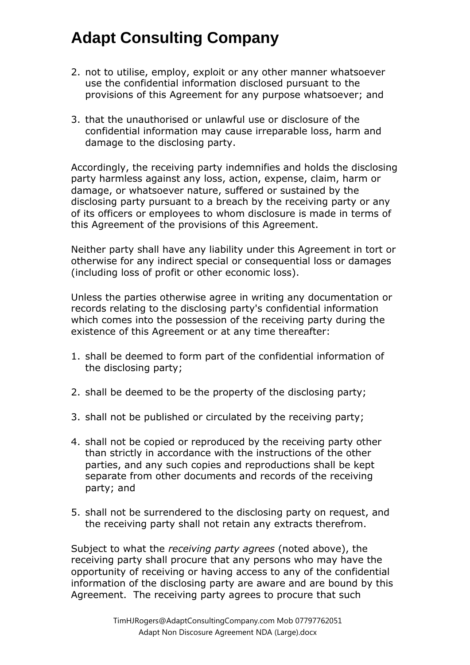- 2. not to utilise, employ, exploit or any other manner whatsoever use the confidential information disclosed pursuant to the provisions of this Agreement for any purpose whatsoever; and
- 3. that the unauthorised or unlawful use or disclosure of the confidential information may cause irreparable loss, harm and damage to the disclosing party.

Accordingly, the receiving party indemnifies and holds the disclosing party harmless against any loss, action, expense, claim, harm or damage, or whatsoever nature, suffered or sustained by the disclosing party pursuant to a breach by the receiving party or any of its officers or employees to whom disclosure is made in terms of this Agreement of the provisions of this Agreement.

Neither party shall have any liability under this Agreement in tort or otherwise for any indirect special or consequential loss or damages (including loss of profit or other economic loss).

Unless the parties otherwise agree in writing any documentation or records relating to the disclosing party's confidential information which comes into the possession of the receiving party during the existence of this Agreement or at any time thereafter:

- 1. shall be deemed to form part of the confidential information of the disclosing party;
- 2. shall be deemed to be the property of the disclosing party;
- 3. shall not be published or circulated by the receiving party;
- 4. shall not be copied or reproduced by the receiving party other than strictly in accordance with the instructions of the other parties, and any such copies and reproductions shall be kept separate from other documents and records of the receiving party; and
- 5. shall not be surrendered to the disclosing party on request, and the receiving party shall not retain any extracts therefrom.

Subject to what the *receiving party agrees* (noted above), the receiving party shall procure that any persons who may have the opportunity of receiving or having access to any of the confidential information of the disclosing party are aware and are bound by this Agreement. The receiving party agrees to procure that such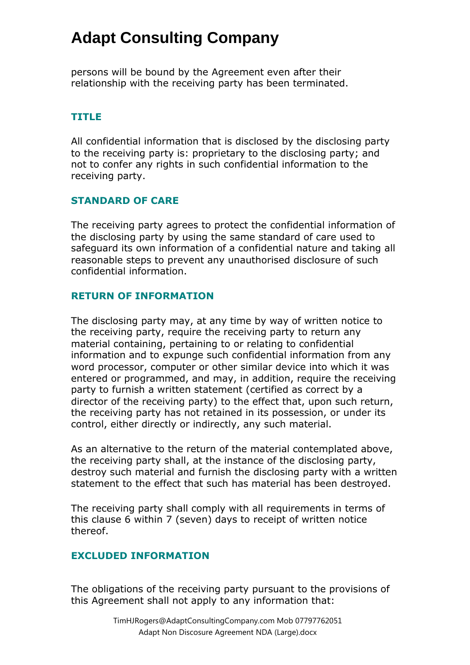persons will be bound by the Agreement even after their relationship with the receiving party has been terminated.

### **TITLE**

All confidential information that is disclosed by the disclosing party to the receiving party is: proprietary to the disclosing party; and not to confer any rights in such confidential information to the receiving party.

### **STANDARD OF CARE**

The receiving party agrees to protect the confidential information of the disclosing party by using the same standard of care used to safeguard its own information of a confidential nature and taking all reasonable steps to prevent any unauthorised disclosure of such confidential information.

### **RETURN OF INFORMATION**

The disclosing party may, at any time by way of written notice to the receiving party, require the receiving party to return any material containing, pertaining to or relating to confidential information and to expunge such confidential information from any word processor, computer or other similar device into which it was entered or programmed, and may, in addition, require the receiving party to furnish a written statement (certified as correct by a director of the receiving party) to the effect that, upon such return, the receiving party has not retained in its possession, or under its control, either directly or indirectly, any such material.

As an alternative to the return of the material contemplated above, the receiving party shall, at the instance of the disclosing party, destroy such material and furnish the disclosing party with a written statement to the effect that such has material has been destroyed.

The receiving party shall comply with all requirements in terms of this clause 6 within 7 (seven) days to receipt of written notice thereof.

### **EXCLUDED INFORMATION**

The obligations of the receiving party pursuant to the provisions of this Agreement shall not apply to any information that: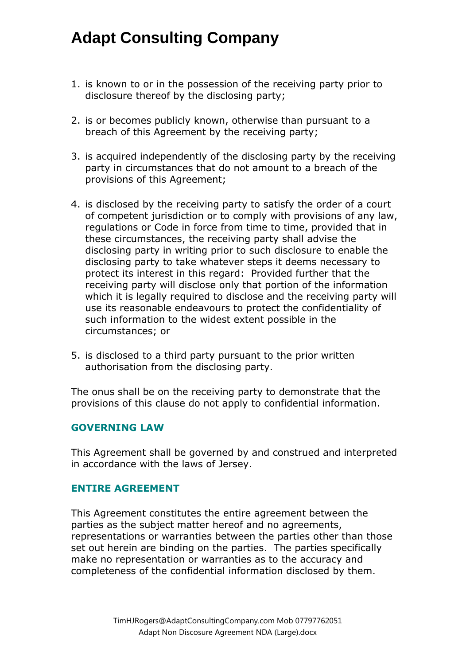- 1. is known to or in the possession of the receiving party prior to disclosure thereof by the disclosing party;
- 2. is or becomes publicly known, otherwise than pursuant to a breach of this Agreement by the receiving party;
- 3. is acquired independently of the disclosing party by the receiving party in circumstances that do not amount to a breach of the provisions of this Agreement;
- 4. is disclosed by the receiving party to satisfy the order of a court of competent jurisdiction or to comply with provisions of any law, regulations or Code in force from time to time, provided that in these circumstances, the receiving party shall advise the disclosing party in writing prior to such disclosure to enable the disclosing party to take whatever steps it deems necessary to protect its interest in this regard: Provided further that the receiving party will disclose only that portion of the information which it is legally required to disclose and the receiving party will use its reasonable endeavours to protect the confidentiality of such information to the widest extent possible in the circumstances; or
- 5. is disclosed to a third party pursuant to the prior written authorisation from the disclosing party.

The onus shall be on the receiving party to demonstrate that the provisions of this clause do not apply to confidential information.

#### **GOVERNING LAW**

This Agreement shall be governed by and construed and interpreted in accordance with the laws of Jersey.

#### **ENTIRE AGREEMENT**

This Agreement constitutes the entire agreement between the parties as the subject matter hereof and no agreements, representations or warranties between the parties other than those set out herein are binding on the parties. The parties specifically make no representation or warranties as to the accuracy and completeness of the confidential information disclosed by them.